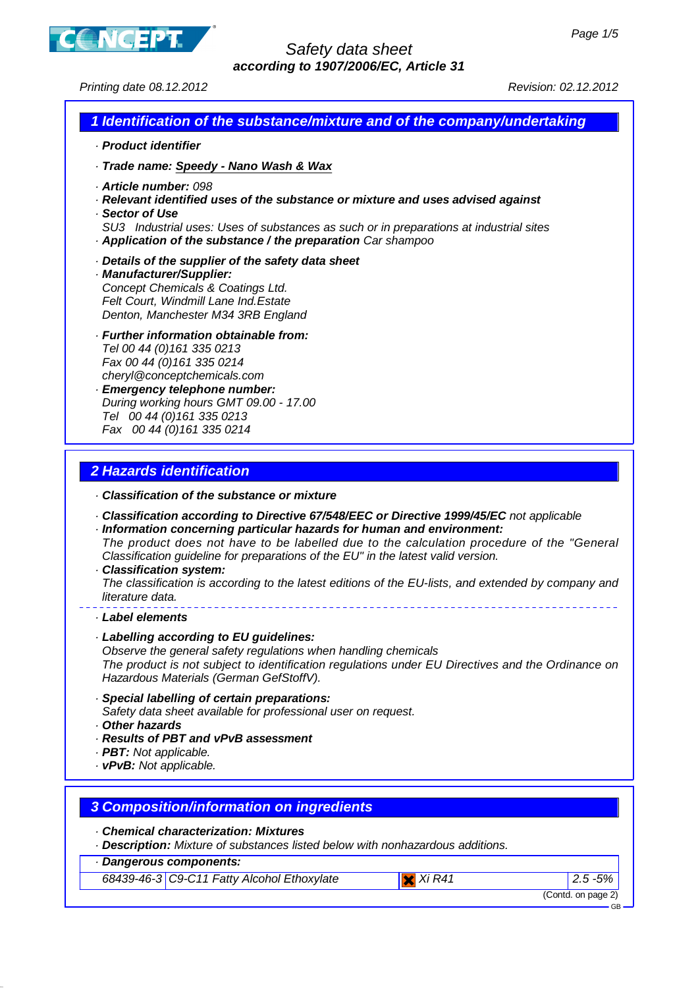

Printing date 08.12.2012 Revision: 02.12.2012

### **1 Identification of the substance/mixture and of the company/undertaking**

- · **Product identifier**
- · **Trade name: Speedy Nano Wash & Wax**
- · **Article number:** 098
- · **Relevant identified uses of the substance or mixture and uses advised against**
- · **Sector of Use**
- SU3 Industrial uses: Uses of substances as such or in preparations at industrial sites · **Application of the substance / the preparation** Car shampoo
- · **Details of the supplier of the safety data sheet**
- · **Manufacturer/Supplier:** Concept Chemicals & Coatings Ltd. Felt Court, Windmill Lane Ind.Estate Denton, Manchester M34 3RB England
- · **Further information obtainable from:** Tel 00 44 (0)161 335 0213 Fax 00 44 (0)161 335 0214 cheryl@conceptchemicals.com · **Emergency telephone number:**
- During working hours GMT 09.00 17.00 Tel 00 44 (0)161 335 0213 Fax 00 44 (0)161 335 0214

# **2 Hazards identification**

- · **Classification of the substance or mixture**
- · **Classification according to Directive 67/548/EEC or Directive 1999/45/EC** not applicable
- · **Information concerning particular hazards for human and environment:** The product does not have to be labelled due to the calculation procedure of the "General Classification guideline for preparations of the EU" in the latest valid version.
- · **Classification system:**

The classification is according to the latest editions of the EU-lists, and extended by company and literature data.

- · **Label elements**
- · **Labelling according to EU guidelines:**

Observe the general safety regulations when handling chemicals The product is not subject to identification regulations under EU Directives and the Ordinance on Hazardous Materials (German GefStoffV).

- · **Special labelling of certain preparations:**
- Safety data sheet available for professional user on request.
- · **Other hazards**
- · **Results of PBT and vPvB assessment**
- · **PBT:** Not applicable.
- · **vPvB:** Not applicable.

### **3 Composition/information on ingredients**

- · **Chemical characterization: Mixtures**
- · **Description:** Mixture of substances listed below with nonhazardous additions.
- · **Dangerous components:**

68439-46-3 C9-C11 Fatty Alcohol Ethoxylate Xi R41 2.5 -5%

(Contd. on page 2)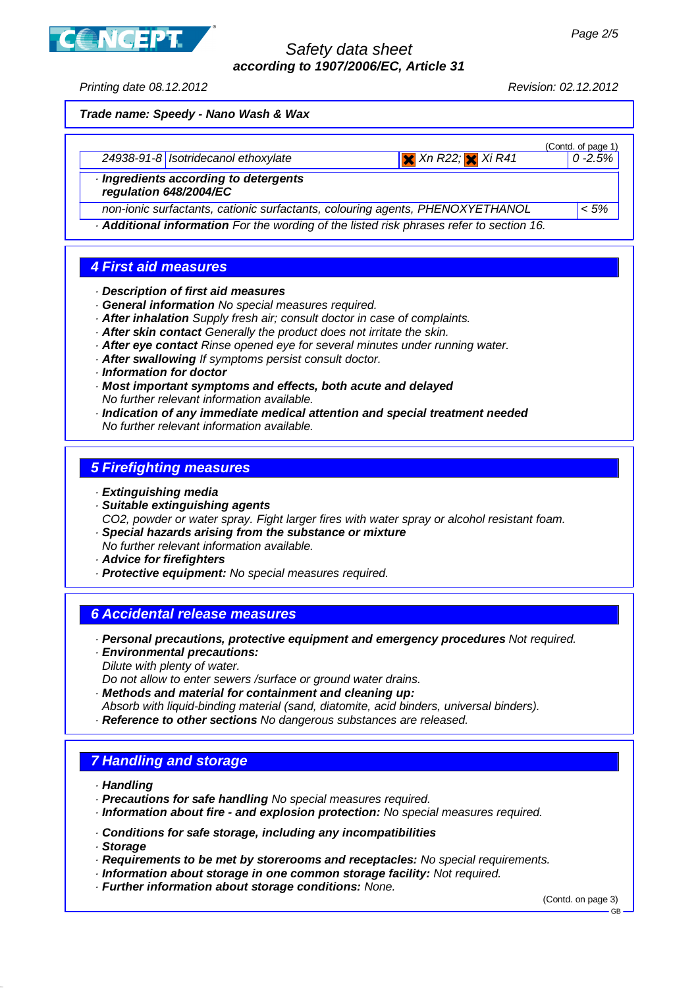

Printing date 08.12.2012 Revision: 02.12.2012

**Trade name: Speedy - Nano Wash & Wax**

| 24938-91-8   Isotridecanol ethoxylate                         | $x$ Xn R22; $x$ Xi R41 | (Contd. of page 1)<br>$10 - 2.5\%$ |
|---------------------------------------------------------------|------------------------|------------------------------------|
| Ingredients according to detergents<br>regulation 648/2004/EC |                        |                                    |

non-ionic surfactants, cationic surfactants, colouring agents, PHENOXYETHANOL  $\vert$  < 5%

· **Additional information** For the wording of the listed risk phrases refer to section 16.

# **4 First aid measures**

- · **Description of first aid measures**
- · **General information** No special measures required.
- · **After inhalation** Supply fresh air; consult doctor in case of complaints.
- · **After skin contact** Generally the product does not irritate the skin.
- · **After eye contact** Rinse opened eye for several minutes under running water.
- · **After swallowing** If symptoms persist consult doctor.
- · **Information for doctor**
- · **Most important symptoms and effects, both acute and delayed** No further relevant information available.
- · **Indication of any immediate medical attention and special treatment needed** No further relevant information available.

### **5 Firefighting measures**

- · **Extinguishing media**
- · **Suitable extinguishing agents** CO2, powder or water spray. Fight larger fires with water spray or alcohol resistant foam.
- · **Special hazards arising from the substance or mixture** No further relevant information available.
- · **Advice for firefighters**
- · **Protective equipment:** No special measures required.

### **6 Accidental release measures**

- · **Personal precautions, protective equipment and emergency procedures** Not required.
- · **Environmental precautions:**
- Dilute with plenty of water.
- Do not allow to enter sewers /surface or ground water drains.
- · **Methods and material for containment and cleaning up:**
- Absorb with liquid-binding material (sand, diatomite, acid binders, universal binders).
- · **Reference to other sections** No dangerous substances are released.

### **7 Handling and storage**

- · **Handling**
- · **Precautions for safe handling** No special measures required.
- · **Information about fire and explosion protection:** No special measures required.
- · **Conditions for safe storage, including any incompatibilities**
- · **Storage**
- · **Requirements to be met by storerooms and receptacles:** No special requirements.
- · **Information about storage in one common storage facility:** Not required.
- · **Further information about storage conditions:** None.

(Contd. on page 3)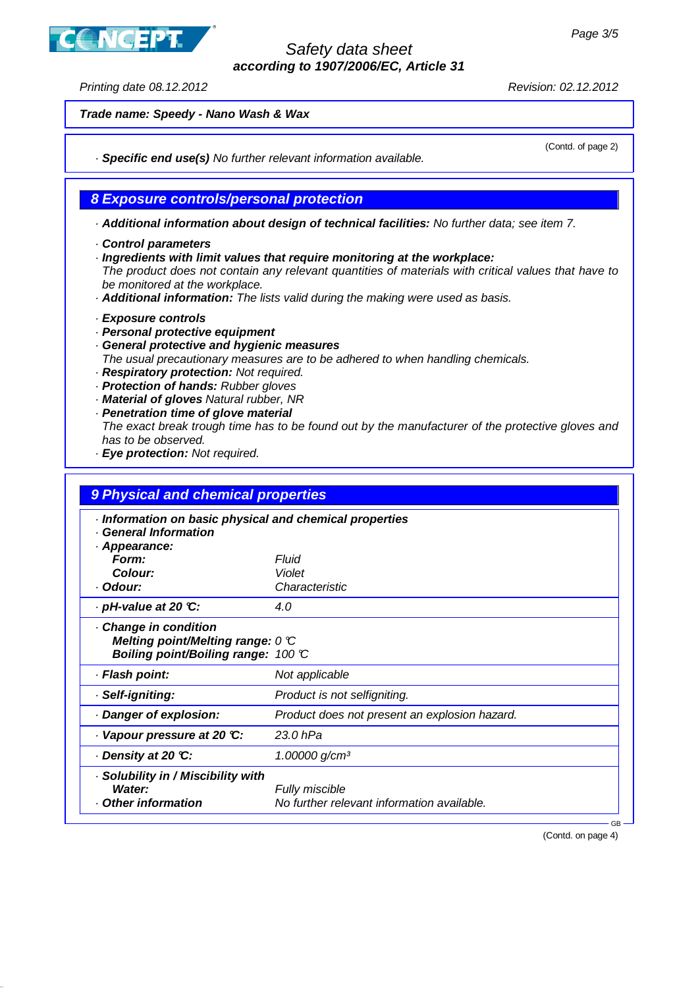ICEPT

# Safety data sheet **according to 1907/2006/EC, Article 31**

Printing date 08.12.2012 Revision: 02.12.2012

(Contd. of page 2)

**Trade name: Speedy - Nano Wash & Wax**

· **Specific end use(s)** No further relevant information available.

### **8 Exposure controls/personal protection**

· **Additional information about design of technical facilities:** No further data; see item 7.

- · **Control parameters**
- · **Ingredients with limit values that require monitoring at the workplace:**

The product does not contain any relevant quantities of materials with critical values that have to be monitored at the workplace.

- · **Additional information:** The lists valid during the making were used as basis.
- · **Exposure controls**
- · **Personal protective equipment**
- · **General protective and hygienic measures**
- The usual precautionary measures are to be adhered to when handling chemicals.
- · **Respiratory protection:** Not required.
- · **Protection of hands:** Rubber gloves
- · **Material of gloves** Natural rubber, NR
- · **Penetration time of glove material**
- The exact break trough time has to be found out by the manufacturer of the protective gloves and has to be observed.
- · **Eye protection:** Not required.

| 9 Physical and chemical properties<br>· Information on basic physical and chemical properties<br><b>General Information</b><br>· Appearance: |                                               |  |
|----------------------------------------------------------------------------------------------------------------------------------------------|-----------------------------------------------|--|
|                                                                                                                                              |                                               |  |
| Colour:                                                                                                                                      | Violet                                        |  |
| · Odour:                                                                                                                                     | Characteristic                                |  |
| $\cdot$ pH-value at 20 °C:                                                                                                                   | 4.0                                           |  |
| Change in condition<br>Melting point/Melting range: $0 \, \mathbb{C}$<br>Boiling point/Boiling range: 100 °C                                 |                                               |  |
| · Flash point:                                                                                                                               | Not applicable                                |  |
| · Self-igniting:                                                                                                                             | Product is not selfigniting.                  |  |
| Danger of explosion:                                                                                                                         | Product does not present an explosion hazard. |  |
| Vapour pressure at 20 °C:                                                                                                                    | 23.0 hPa                                      |  |
| ⋅ Density at 20 ℃:                                                                                                                           | $1.00000$ g/cm <sup>3</sup>                   |  |
| · Solubility in / Miscibility with<br>Water:                                                                                                 | Fully miscible                                |  |
| Other information                                                                                                                            | No further relevant information available.    |  |

(Contd. on page 4)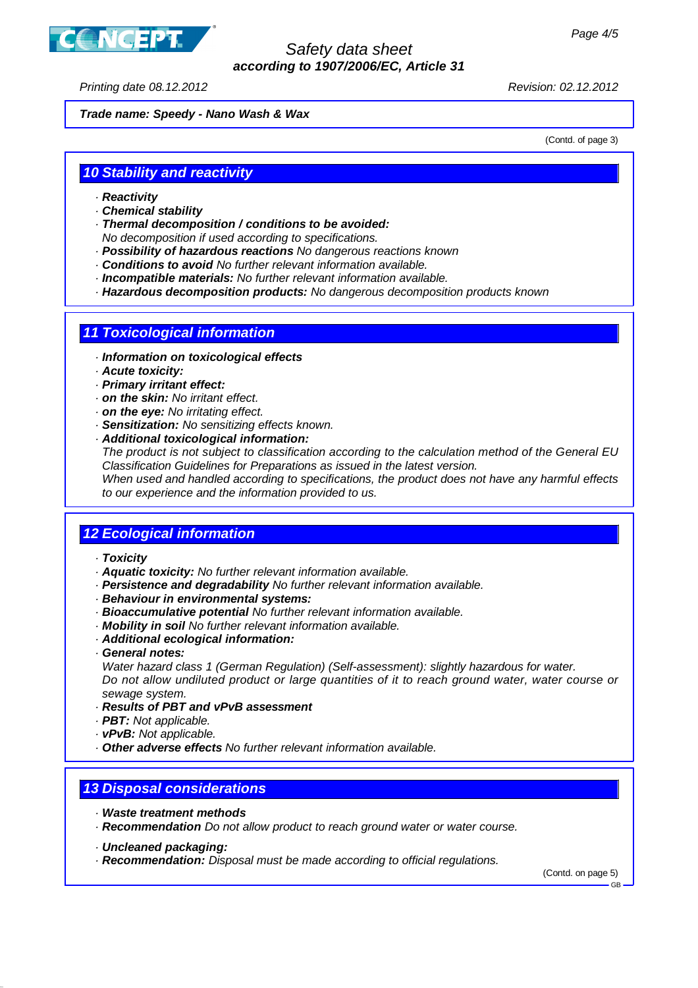

Printing date 08.12.2012 Revision: 02.12.2012

**Trade name: Speedy - Nano Wash & Wax**

(Contd. of page 3)

## **10 Stability and reactivity**

- · **Reactivity**
- · **Chemical stability**
- · **Thermal decomposition / conditions to be avoided:**
- No decomposition if used according to specifications.
- · **Possibility of hazardous reactions** No dangerous reactions known
- · **Conditions to avoid** No further relevant information available.
- · **Incompatible materials:** No further relevant information available.
- · **Hazardous decomposition products:** No dangerous decomposition products known

### **11 Toxicological information**

- · **Information on toxicological effects**
- · **Acute toxicity:**
- · **Primary irritant effect:**
- · **on the skin:** No irritant effect.
- · **on the eye:** No irritating effect.
- · **Sensitization:** No sensitizing effects known.
- · **Additional toxicological information:**

The product is not subject to classification according to the calculation method of the General EU Classification Guidelines for Preparations as issued in the latest version.

When used and handled according to specifications, the product does not have any harmful effects to our experience and the information provided to us.

### **12 Ecological information**

- · **Toxicity**
- · **Aquatic toxicity:** No further relevant information available.
- · **Persistence and degradability** No further relevant information available.
- · **Behaviour in environmental systems:**
- · **Bioaccumulative potential** No further relevant information available.
- · **Mobility in soil** No further relevant information available.
- · **Additional ecological information:**
- · **General notes:**

Water hazard class 1 (German Regulation) (Self-assessment): slightly hazardous for water. Do not allow undiluted product or large quantities of it to reach ground water, water course or sewage system.

- · **Results of PBT and vPvB assessment**
- · **PBT:** Not applicable.
- · **vPvB:** Not applicable.
- · **Other adverse effects** No further relevant information available.

## **13 Disposal considerations**

- · **Waste treatment methods**
- · **Recommendation** Do not allow product to reach ground water or water course.
- · **Uncleaned packaging:**
- · **Recommendation:** Disposal must be made according to official regulations.

(Contd. on page 5)

GB